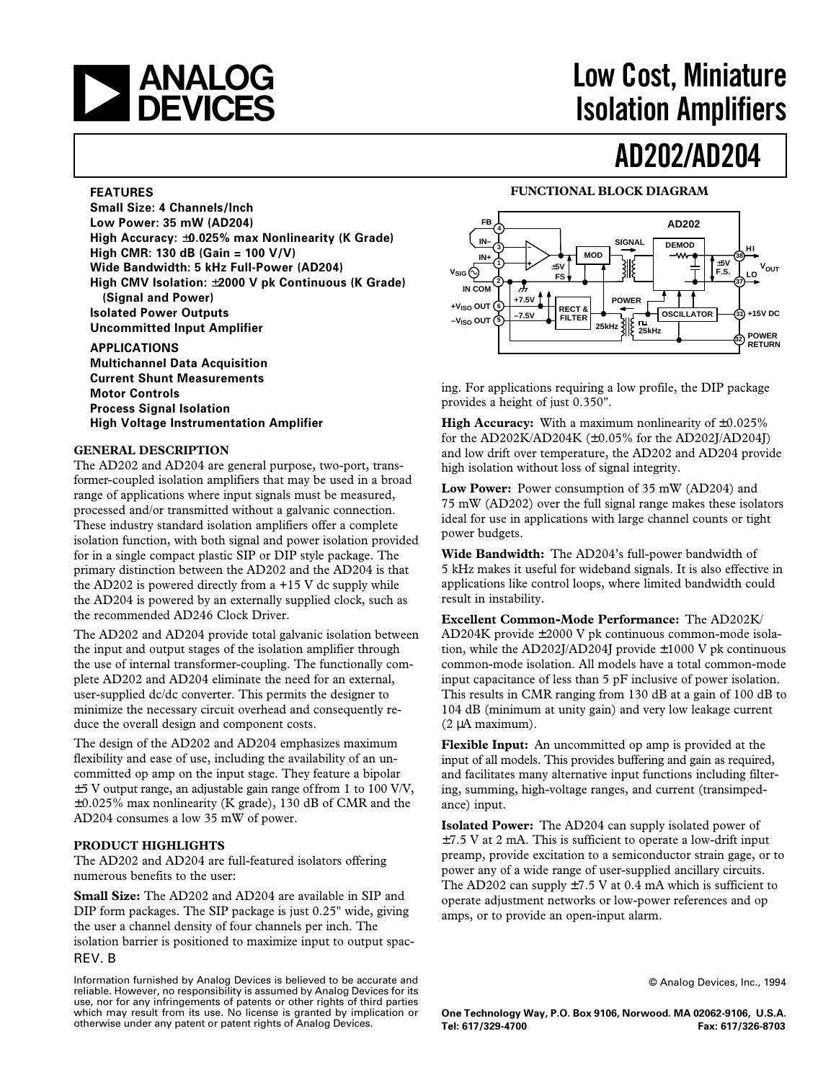# **EXAMALOG**<br>DEVICES

# **Low Cost, Miniature Isolation Amplifiers**

## **AD202/AD204**

### **FEATURES**

**Small Size: 4 Channels/lnch Low Power: 35 mW (AD204) High Accuracy:** ±**0.025% max Nonlinearity (K Grade) High CMR: 130 dB (Gain = 100 V/V) Wide Bandwidth: 5 kHz Full-Power (AD204) High CMV Isolation:** ±**2000 V pk Continuous (K Grade) (Signal and Power) Isolated Power Outputs Uncommitted Input Amplifier**

**APPLICATIONS Multichannel Data Acquisition Current Shunt Measurements Motor Controls Process Signal Isolation High Voltage Instrumentation Amplifier**

### **GENERAL DESCRIPTION**

The AD202 and AD204 are general purpose, two-port, transformer-coupled isolation amplifiers that may be used in a broad range of applications where input signals must be measured, processed and/or transmitted without a galvanic connection. These industry standard isolation amplifiers offer a complete isolation function, with both signal and power isolation provided for in a single compact plastic SIP or DIP style package. The primary distinction between the AD202 and the AD204 is that the AD202 is powered directly from  $a + 15$  V dc supply while the AD204 is powered by an externally supplied clock, such as the recommended AD246 Clock Driver.

The AD202 and AD204 provide total galvanic isolation between the input and output stages of the isolation amplifier through the use of internal transformer-coupling. The functionally complete AD202 and AD204 eliminate the need for an external, user-supplied dc/dc converter. This permits the designer to minimize the necessary circuit overhead and consequently reduce the overall design and component costs.

The design of the AD202 and AD204 emphasizes maximum flexibility and ease of use, including the availability of an uncommitted op amp on the input stage. They feature a bipolar  $\pm$ 5 V output range, an adjustable gain range of from 1 to 100 V/V, ±0.025% max nonlinearity (K grade), 130 dB of CMR and the AD204 consumes a low 35 mW of power.

### **PRODUCT HIGHLIGHTS**

The AD202 and AD204 are full-featured isolators offering numerous benefits to the user:

REV. B **Small Size:** The AD202 and AD204 are available in SIP and DIP form packages. The SIP package is just 0.25" wide, giving the user a channel density of four channels per inch. The isolation barrier is positioned to maximize input to output spac-

#### **FB AD202 4 IN–** SIGNAL **DEMOD 3 HI MOD IN+ 38** 兆 ±**5V**  $V_{OUT}$ **1** ±**5V**  $v_{\sf SIG}(\!\!\cdot\!\!)$ **F.S. FS LO 2 37 IN COM** Ж **+7.5V POWER +VISO OUT 6 RECT & OSCILLATOR +15V DC 31 –7.5V –VISO OUT FILTER 25kHz 25kHz 5<sup>32</sup> POWER RETURN**

**FUNCTIONAL BLOCK DIAGRAM**

ing. For applications requiring a low profile, the DIP package provides a height of just 0.350".

**High Accuracy:** With a maximum nonlinearity of  $\pm 0.025\%$ for the AD202K/AD204K  $(\pm 0.05\%$  for the AD202J/AD204J) and low drift over temperature, the AD202 and AD204 provide high isolation without loss of signal integrity.

**Low Power:** Power consumption of 35 mW (AD204) and 75 mW (AD202) over the full signal range makes these isolators ideal for use in applications with large channel counts or tight power budgets.

**Wide Bandwidth:** The AD204's full-power bandwidth of 5 kHz makes it useful for wideband signals. It is also effective in applications like control loops, where limited bandwidth could result in instability.

**Excellent Common-Mode Performance:** The AD202K/ AD204K provide ±2000 V pk continuous common-mode isolation, while the AD202J/AD204J provide ±1000 V pk continuous common-mode isolation. All models have a total common-mode input capacitance of less than 5 pF inclusive of power isolation. This results in CMR ranging from 130 dB at a gain of 100 dB to 104 dB (minimum at unity gain) and very low leakage current (2 µA maximum).

**Flexible Input:** An uncommitted op amp is provided at the input of all models. This provides buffering and gain as required, and facilitates many alternative input functions including filtering, summing, high-voltage ranges, and current (transimpedance) input.

**Isolated Power:** The AD204 can supply isolated power of  $\pm$ 7.5 V at 2 mA. This is sufficient to operate a low-drift input preamp, provide excitation to a semiconductor strain gage, or to power any of a wide range of user-supplied ancillary circuits. The AD202 can supply  $\pm 7.5$  V at 0.4 mA which is sufficient to operate adjustment networks or low-power references and op amps, or to provide an open-input alarm.

© Analog Devices, Inc., 1994

**One Technology Way, P.O. Box 9106, Norwood. MA 02062-9106, U.S.A. Tel: 617/329-4700 Fax: 617/326-8703**

Information furnished by Analog Devices is believed to be accurate and reliable. However, no responsibility is assumed by Analog Devices for its use, nor for any infringements of patents or other rights of third parties which may result from its use. No license is granted by implication or otherwise under any patent or patent rights of Analog Devices.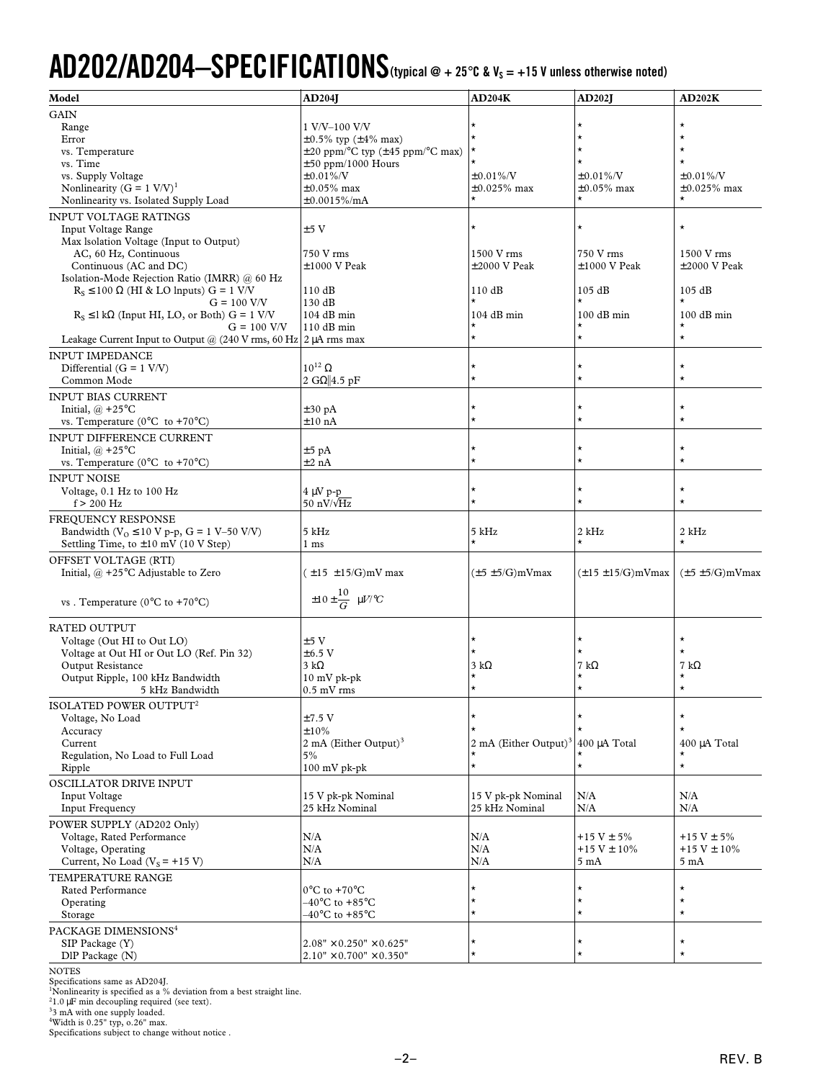# AD202/AD204-SPECIFICATIONS (typical @ + 25°C & V<sub>s</sub> = +15 V unless otherwise noted)

| Model                                                                                                                   | <b>AD204J</b>                                                                    | AD204K                            | <b>AD202J</b>             | AD202K                       |
|-------------------------------------------------------------------------------------------------------------------------|----------------------------------------------------------------------------------|-----------------------------------|---------------------------|------------------------------|
| <b>GAIN</b>                                                                                                             |                                                                                  |                                   |                           |                              |
| Range                                                                                                                   | 1 V/V-100 V/V                                                                    |                                   | $\star$                   | $\star$                      |
| Error                                                                                                                   | $\pm 0.5\%$ typ ( $\pm 4\%$ max)                                                 | $\star$                           | $\star$                   | $\star$                      |
| vs. Temperature                                                                                                         | $\pm 20$ ppm/ $\mathrm{^{\circ}C}$ typ ( $\pm 45$ ppm/ $\mathrm{^{\circ}C}$ max) |                                   | $\star$                   | $\star$                      |
| vs. Time                                                                                                                | $\pm 50$ ppm/1000 Hours                                                          |                                   | $\star$                   | $\star$                      |
| vs. Supply Voltage                                                                                                      | $\pm 0.01\%$ /V                                                                  | $\pm 0.01\%$ /V                   | $±0.01\%$ /V              | $±0.01\%/V$                  |
| Nonlinearity (G = $1 \text{ V/V}$ ) <sup>1</sup><br>Nonlinearity vs. Isolated Supply Load                               | $\pm 0.05\%$ max                                                                 | $\pm 0.025\%$ max<br>*            | $\pm 0.05\%$ max          | $\pm 0.025\%$ max<br>$\star$ |
|                                                                                                                         | $\pm 0.0015\%$ /mA                                                               |                                   |                           |                              |
| <b>INPUT VOLTAGE RATINGS</b>                                                                                            |                                                                                  | $\star$                           | $\star$                   | $\star$                      |
| Input Voltage Range<br>Max Isolation Voltage (Input to Output)                                                          | ±5V                                                                              |                                   |                           |                              |
| AC, 60 Hz, Continuous                                                                                                   | 750 V rms                                                                        | 1500 V rms                        | 750 V rms                 | 1500 V rms                   |
| Continuous (AC and DC)                                                                                                  | $\pm 1000$ V Peak                                                                | $\pm 2000$ V Peak                 | $\pm 1000$ V Peak         | $\pm 2000$ V Peak            |
| Isolation-Mode Rejection Ratio (IMRR) @ 60 Hz                                                                           |                                                                                  |                                   |                           |                              |
| $R_s \le 100 \Omega$ (HI & LO lnputs) G = 1 V/V                                                                         | 110dB                                                                            | 110dB                             | 105 dB                    | 105 dB                       |
| $G = 100$ V/V                                                                                                           | 130 dB                                                                           |                                   |                           | $\star$                      |
| $R_S \leq 1 k\Omega$ (Input HI, LO, or Both) G = 1 V/V                                                                  | 104 dB min                                                                       | $104$ dB min                      | $100$ dB min              | $100$ dB min                 |
| $G = 100$ V/V                                                                                                           | 110 dB min                                                                       |                                   |                           | $\star$                      |
| Leakage Current Input to Output @ $(240 \text{ V} \text{ rms}, 60 \text{ Hz}   2 \mu \text{A} \text{ rms} \text{ max})$ |                                                                                  | $\star$                           | $\star$                   | $\star$                      |
| <b>INPUT IMPEDANCE</b>                                                                                                  |                                                                                  |                                   |                           |                              |
| Differential $(G = 1 \text{ V/V})$                                                                                      | $10^{12}$ $\Omega$                                                               | $^\star$                          | $\star$                   | $\star$                      |
| Common Mode                                                                                                             | 2 G $\Omega$ 4.5 pF                                                              | $\star$                           | $\star$                   | $\star$                      |
| <b>INPUT BIAS CURRENT</b>                                                                                               |                                                                                  |                                   |                           |                              |
| Initial, $(a) + 25^{\circ}$ C                                                                                           | $\pm 30$ pA                                                                      | $^{\star}$                        | $\star$                   | $\star$                      |
| vs. Temperature ( $0^{\circ}$ C to +70 $^{\circ}$ C)                                                                    | $\pm 10$ nA                                                                      | $\star$                           | $\star$                   | $\star$                      |
| <b>INPUT DIFFERENCE CURRENT</b>                                                                                         |                                                                                  |                                   |                           |                              |
| Initial, $(a) + 25^{\circ}$ C                                                                                           | $\pm 5$ pA                                                                       | $^{\star}$                        | $\star$                   | $\star$                      |
| vs. Temperature ( $0^{\circ}$ C to +70 $^{\circ}$ C)                                                                    | $\pm 2$ nA                                                                       | $\star$                           | $\star$                   | $\star$                      |
| <b>INPUT NOISE</b>                                                                                                      |                                                                                  |                                   |                           |                              |
| Voltage, 0.1 Hz to 100 Hz                                                                                               | 4 μV p-p                                                                         | $^\star$                          | $\star$                   | $\star$                      |
| $f > 200$ Hz                                                                                                            | 50 nV/ $\sqrt{\text{Hz}}$                                                        | $\star$                           | $\star$                   | $\star$                      |
| FREQUENCY RESPONSE                                                                                                      |                                                                                  |                                   |                           |                              |
| Bandwidth ( $V_0 \le 10$ V p-p, G = 1 V-50 V/V)                                                                         | 5 kHz                                                                            | 5 kHz                             | 2 kHz                     | 2 kHz                        |
| Settling Time, to $\pm 10$ mV (10 V Step)                                                                               | 1 <sub>ms</sub>                                                                  | $\star$                           | $\star$                   | $\star$                      |
| OFFSET VOLTAGE (RTI)                                                                                                    |                                                                                  |                                   |                           |                              |
| Initial, $@ + 25$ °C Adjustable to Zero                                                                                 | $(\pm 15 \pm 15/G)$ mV max                                                       | $(\pm 5 \pm 5/G)mV$ max           | $(\pm 15 \pm 15/G)mV$ max | $(\pm 5 \pm 5/G)mV$ max      |
|                                                                                                                         |                                                                                  |                                   |                           |                              |
| vs. Temperature ( $0^{\circ}$ C to +70 $^{\circ}$ C)                                                                    | $\pm 10 \pm \frac{10}{G}$ $\mu$ V/°C                                             |                                   |                           |                              |
|                                                                                                                         |                                                                                  |                                   |                           |                              |
| <b>RATED OUTPUT</b>                                                                                                     |                                                                                  |                                   |                           |                              |
| Voltage (Out HI to Out LO)                                                                                              | $\pm 5~\mathrm{V}$                                                               | *                                 | $\star$                   | $\star$                      |
| Voltage at Out HI or Out LO (Ref. Pin 32)                                                                               | $\pm 6.5$ V                                                                      | $\star$                           | $\star$                   | $\star$                      |
| Output Resistance                                                                                                       | $3 k\Omega$                                                                      | $3 k\Omega$                       | 7 k $\Omega$              | 7 k $\Omega$                 |
| Output Ripple, 100 kHz Bandwidth                                                                                        | $10$ mV pk-pk                                                                    | $\star$                           | $\star$<br>$\star$        | $^\star$<br>$\star$          |
| 5 kHz Bandwidth                                                                                                         | $0.5$ mV rms                                                                     |                                   |                           |                              |
| ISOLATED POWER OUTPUT <sup>2</sup>                                                                                      |                                                                                  |                                   |                           |                              |
| Voltage, No Load                                                                                                        | $±7.5$ V                                                                         | $^{\star}$<br>$\star$             | $\star$                   | $\star$<br>$\star$           |
| Accuracy                                                                                                                | $\pm 10\%$                                                                       |                                   |                           |                              |
| Current<br>Regulation, No Load to Full Load                                                                             | 2 mA (Either Output) $3$<br>5%                                                   | 2 mA (Either Output) <sup>3</sup> | 400 µA Total              | 400 µA Total<br>$\star$      |
| Ripple                                                                                                                  | 100 mV pk-pk                                                                     | $\star$                           | $\star$                   | $\star$                      |
| OSCILLATOR DRIVE INPUT                                                                                                  |                                                                                  |                                   |                           |                              |
| <b>Input Voltage</b>                                                                                                    | 15 V pk-pk Nominal                                                               | 15 V pk-pk Nominal                | N/A                       | N/A                          |
| <b>Input Frequency</b>                                                                                                  | 25 kHz Nominal                                                                   | 25 kHz Nominal                    | N/A                       | N/A                          |
|                                                                                                                         |                                                                                  |                                   |                           |                              |
| POWER SUPPLY (AD202 Only)<br>Voltage, Rated Performance                                                                 | N/A                                                                              | N/A                               | $+15$ V $\pm$ 5%          | $+15$ V $\pm$ 5%             |
| Voltage, Operating                                                                                                      | N/A                                                                              | N/A                               | $+15$ V $\pm$ 10%         | $+15$ V $\pm$ 10%            |
| Current, No Load ( $V_s$ = +15 V)                                                                                       | N/A                                                                              | N/A                               | 5 mA                      | $5 \text{ mA}$               |
| TEMPERATURE RANGE                                                                                                       |                                                                                  |                                   |                           |                              |
| Rated Performance                                                                                                       | $0^{\circ}$ C to +70 $^{\circ}$ C                                                | *                                 | $\star$                   | $\star$                      |
| Operating                                                                                                               | $-40^{\circ}$ C to +85 $^{\circ}$ C                                              | $^{\star}$                        | $\star$                   | $\star$                      |
| Storage                                                                                                                 | $-40^{\circ}$ C to +85 $^{\circ}$ C                                              | ¥                                 | $\star$                   | $\star$                      |
| PACKAGE DIMENSIONS <sup>4</sup>                                                                                         |                                                                                  |                                   |                           |                              |
| SIP Package (Y)                                                                                                         | $2.08" \times 0.250" \times 0.625"$                                              | $^{\star}$                        | $\star$                   | $\star$                      |
| $DIP$ Package $(N)$                                                                                                     | $2.10" \times 0.700" \times 0.350"$                                              | $\star$                           | $\star$                   | $\star$                      |
|                                                                                                                         |                                                                                  |                                   |                           |                              |

NOTES

Specifications same as AD204J.<br>"Nonlinearity is specified as a % deviation from a best straight line.<br><sup>21</sup>.0 µF min decoupling required (see text).<br><sup>3</sup>3 mA with one supply loaded.<br>"Width is 0.25" typ, o.26" max.<br>Specificat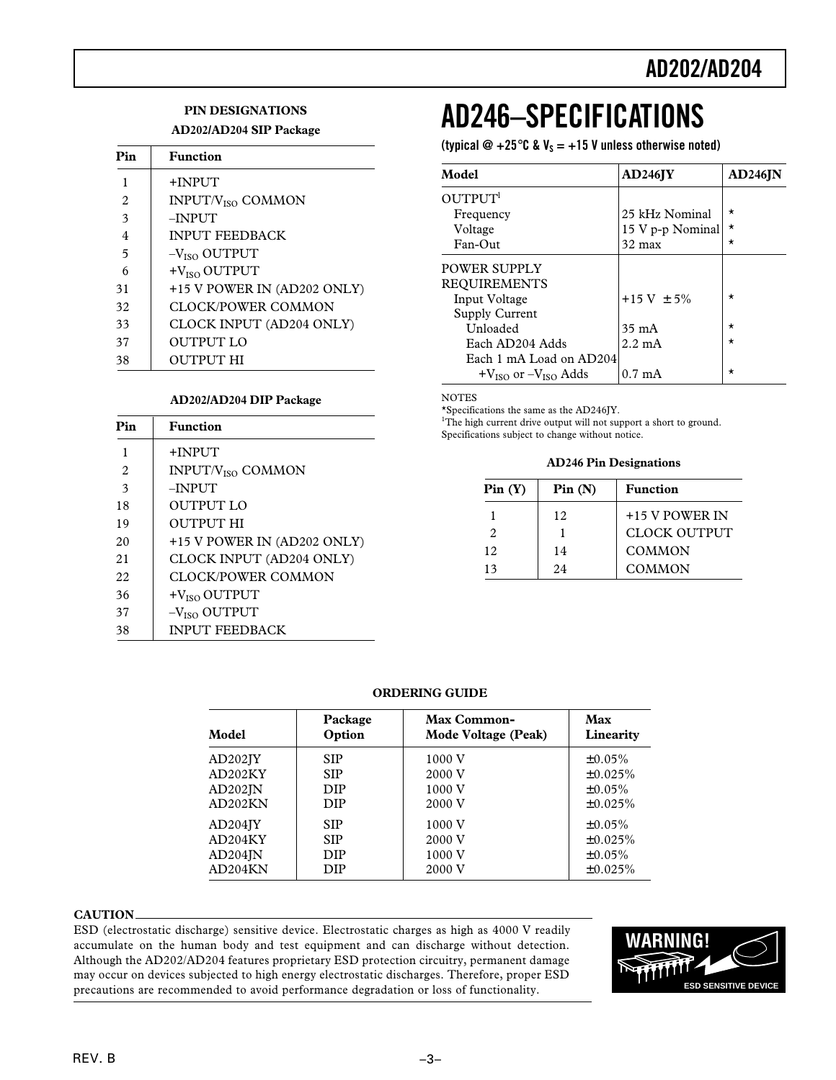### **PIN DESIGNATIONS**

### **AD202/AD204 SIP Package**

| Pin | <b>Function</b>               |
|-----|-------------------------------|
| 1   | +INPUT                        |
| 2   | INPUT/V <sub>ISO</sub> COMMON |
| 3   | $-$ INPUT                     |
| 4   | <b>INPUT FEEDBACK</b>         |
| 5   | $-VISO$ OUTPUT                |
| 6   | $+VISO$ OUTPUT                |
| 31  | +15 V POWER IN (AD202 ONLY)   |
| 32  | CLOCK/POWER COMMON            |
| 33  | CLOCK INPUT (AD204 ONLY)      |
| 37  | OUTPUT LO                     |
| 38  | OUTPUT HI                     |

### **AD202/AD204 DIP Package**

| Pin            | <b>Function</b>                     |
|----------------|-------------------------------------|
| 1              | +INPUT                              |
| $\mathfrak{D}$ | <b>INPUT/V<sub>ISO</sub> COMMON</b> |
| 3              | $-$ INPUT                           |
| 18             | OUTPUT LO                           |
| 19             | OUTPUT HI                           |
| 20             | +15 V POWER IN (AD202 ONLY)         |
| 21             | CLOCK INPUT (AD204 ONLY)            |
| 22             | CLOCK/POWER COMMON                  |
| 36             | $+VISO$ OUTPUT                      |
| 37             | $-VISO$ OUTPUT                      |
| 38             | <b>INPUT FEEDBACK</b>               |

# **AD246–SPECIFICATIONS**

(typical  $\mathcal{Q}$  +25 $\degree$ C & V<sub>S</sub> = +15 V unless otherwise noted)

| Model                         | $AD246$ JY       | $AD246$ JN |
|-------------------------------|------------------|------------|
| OUTPUT <sup>1</sup>           |                  |            |
| Frequency                     | 25 kHz Nominal   | $\star$    |
| Voltage                       | 15 V p-p Nominal | $\star$    |
| Fan-Out                       | $32 \text{ max}$ | $\star$    |
| POWER SUPPLY                  |                  |            |
| <b>REQUIREMENTS</b>           |                  |            |
| Input Voltage                 | $+15$ V $\pm$ 5% | $\star$    |
| Supply Current                |                  |            |
| Unloaded                      | $35 \text{ mA}$  | $\star$    |
| Each AD204 Adds               | $2.2 \text{ mA}$ | $\star$    |
| Each 1 mA Load on AD204       |                  |            |
| $+V_{ISO}$ or $-V_{ISO}$ Adds | $0.7 \text{ mA}$ | $\star$    |

**NOTES** 

\*Specifications the same as the AD246JY.

<sup>1</sup>The high current drive output will not support a short to ground.

Specifications subject to change without notice.

**AD246 Pin Designations**

| Pin(Y) | Pin(N) | <b>Function</b>     |
|--------|--------|---------------------|
|        | 12     | +15 V POWER IN      |
| 2      |        | <b>CLOCK OUTPUT</b> |
| 12     | 14     | COMMON              |
| 13     | 24     | COMMON              |

### **ORDERING GUIDE**

| Model                | Package    | Max Common-         | Max          |
|----------------------|------------|---------------------|--------------|
|                      | Option     | Mode Voltage (Peak) | Linearity    |
| AD202 <sub>IV</sub>  | <b>SIP</b> | 1000 V              | $\pm 0.05\%$ |
| AD202KY              | <b>SIP</b> | 2000 V              | ±0.025%      |
| AD202IN              | <b>DIP</b> | 1000 V              | $±0.05\%$    |
| AD202KN              | <b>DIP</b> | 2000 V              | ±0.025%      |
| AD204 <sub>IV</sub>  | <b>SIP</b> | 1000 V              | $±0.05\%$    |
| AD204KY              | <b>SIP</b> | 2000 V              | ±0.025%      |
| $AD204$ $\mathbb{N}$ | <b>DIP</b> | 1000 V              | $±0.05\%$    |
| AD204KN              | DIP        | 2000 V              | ±0.025%      |

### **CAUTION**

ESD (electrostatic discharge) sensitive device. Electrostatic charges as high as 4000 V readily accumulate on the human body and test equipment and can discharge without detection. Although the AD202/AD204 features proprietary ESD protection circuitry, permanent damage may occur on devices subjected to high energy electrostatic discharges. Therefore, proper ESD precautions are recommended to avoid performance degradation or loss of functionality.

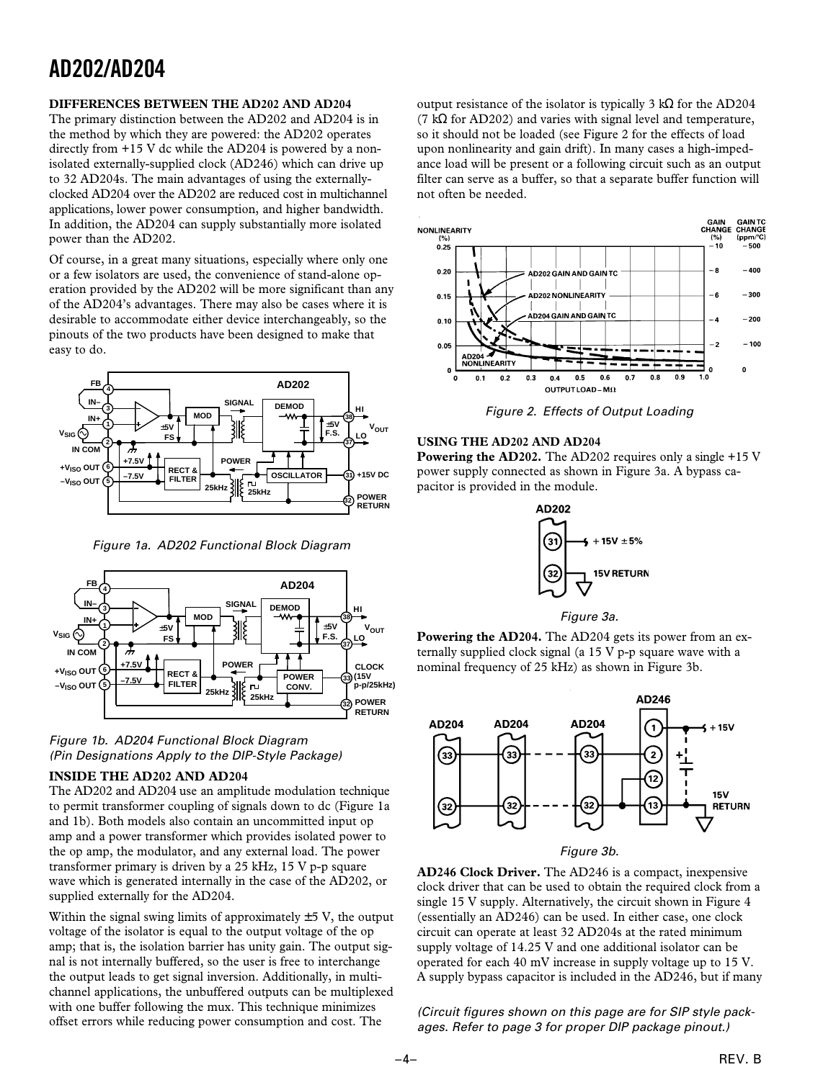### **DIFFERENCES BETWEEN THE AD202 AND AD204**

The primary distinction between the AD202 and AD204 is in the method by which they are powered: the AD202 operates directly from +15 V dc while the AD204 is powered by a nonisolated externally-supplied clock (AD246) which can drive up to 32 AD204s. The main advantages of using the externallyclocked AD204 over the AD202 are reduced cost in multichannel applications, lower power consumption, and higher bandwidth. In addition, the AD204 can supply substantially more isolated power than the AD202.

Of course, in a great many situations, especially where only one or a few isolators are used, the convenience of stand-alone operation provided by the AD202 will be more significant than any of the AD204's advantages. There may also be cases where it is desirable to accommodate either device interchangeably, so the pinouts of the two products have been designed to make that easy to do.



Figure 1a. AD202 Functional Block Diagram





### **INSIDE THE AD202 AND AD204**

The AD202 and AD204 use an amplitude modulation technique to permit transformer coupling of signals down to dc (Figure 1a and 1b). Both models also contain an uncommitted input op amp and a power transformer which provides isolated power to the op amp, the modulator, and any external load. The power transformer primary is driven by a 25 kHz, 15 V p-p square wave which is generated internally in the case of the AD202, or supplied externally for the AD204.

Within the signal swing limits of approximately  $\pm$  5 V, the output voltage of the isolator is equal to the output voltage of the op amp; that is, the isolation barrier has unity gain. The output signal is not internally buffered, so the user is free to interchange the output leads to get signal inversion. Additionally, in multichannel applications, the unbuffered outputs can be multiplexed with one buffer following the mux. This technique minimizes with one buiter following the mux. I has technique minimizes (Circuit figures shown on this page are for SIP style pack-<br>offset errors while reducing power consumption and cost. The ages Befor to page 2 for proper DIB posi

output resistance of the isolator is typically 3 kΩ for the AD204 (7 k $\Omega$  for AD202) and varies with signal level and temperature, so it should not be loaded (see Figure 2 for the effects of load upon nonlinearity and gain drift). In many cases a high-impedance load will be present or a following circuit such as an output filter can serve as a buffer, so that a separate buffer function will not often be needed.



Figure 2. Effects of Output Loading

### **USING THE AD202 AND AD204**

**Powering the AD202.** The AD202 requires only a single +15 V power supply connected as shown in Figure 3a. A bypass capacitor is provided in the module.



Figure 3a.

**Powering the AD204.** The AD204 gets its power from an externally supplied clock signal (a 15 V p-p square wave with a nominal frequency of 25 kHz) as shown in Figure 3b.



Figure 3b.

**AD246 Clock Driver.** The AD246 is a compact, inexpensive clock driver that can be used to obtain the required clock from a single 15 V supply. Alternatively, the circuit shown in Figure 4 (essentially an AD246) can be used. In either case, one clock circuit can operate at least 32 AD204s at the rated minimum supply voltage of 14.25 V and one additional isolator can be operated for each 40 mV increase in supply voltage up to 15 V. A supply bypass capacitor is included in the AD246, but if many

ages. Refer to page 3 for proper DIP package pinout.)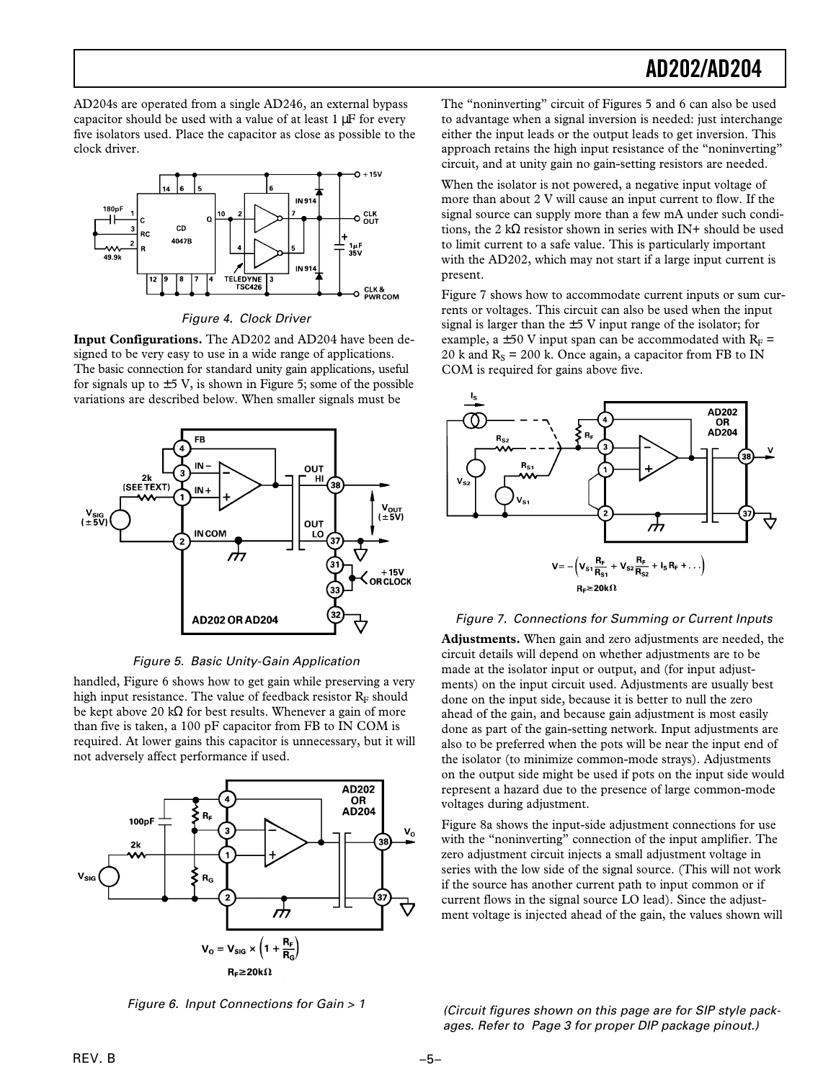AD204s are operated from a single AD246, an external bypass capacitor should be used with a value of at least 1 µF for every five isolators used. Place the capacitor as close as possible to the clock driver.



Figure 4. Clock Driver

**Input Configurations.** The AD202 and AD204 have been designed to be very easy to use in a wide range of applications. The basic connection for standard unity gain applications, useful for signals up to  $\pm$  5 V, is shown in Figure 5; some of the possible variations are described below. When smaller signals must be



Figure 5. Basic Unity-Gain Application

handled, Figure 6 shows how to get gain while preserving a very high input resistance. The value of feedback resistor  $R<sub>F</sub>$  should be kept above 20 kΩ for best results. Whenever a gain of more than five is taken, a 100 pF capacitor from FB to IN COM is required. At lower gains this capacitor is unnecessary, but it will not adversely affect performance if used.



Figure 6. Input Connections for Gain > 1

The "noninverting" circuit of Figures 5 and 6 can also be used to advantage when a signal inversion is needed: just interchange either the input leads or the output leads to get inversion. This approach retains the high input resistance of the "noninverting" circuit, and at unity gain no gain-setting resistors are needed.

When the isolator is not powered, a negative input voltage of more than about 2 V will cause an input current to flow. If the signal source can supply more than a few mA under such conditions, the 2 k $\Omega$  resistor shown in series with IN+ should be used to limit current to a safe value. This is particularly important with the AD202, which may not start if a large input current is present.

Figure 7 shows how to accommodate current inputs or sum currents or voltages. This circuit can also be used when the input signal is larger than the  $\pm$  5 V input range of the isolator; for example, a  $\pm$  50 V input span can be accommodated with R<sub>F</sub> = 20 k and  $R_s = 200$  k. Once again, a capacitor from FB to IN COM is required for gains above five.



### Figure 7. Connections for Summing or Current Inputs

**Adjustments.** When gain and zero adjustments are needed, the circuit details will depend on whether adjustments are to be made at the isolator input or output, and (for input adjustments) on the input circuit used. Adjustments are usually best done on the input side, because it is better to null the zero ahead of the gain, and because gain adjustment is most easily done as part of the gain-setting network. Input adjustments are also to be preferred when the pots will be near the input end of the isolator (to minimize common-mode strays). Adjustments on the output side might be used if pots on the input side would represent a hazard due to the presence of large common-mode voltages during adjustment.

Figure 8a shows the input-side adjustment connections for use with the "noninverting" connection of the input amplifier. The zero adjustment circuit injects a small adjustment voltage in series with the low side of the signal source. (This will not work if the source has another current path to input common or if current flows in the signal source LO lead). Since the adjustment voltage is injected ahead of the gain, the values shown will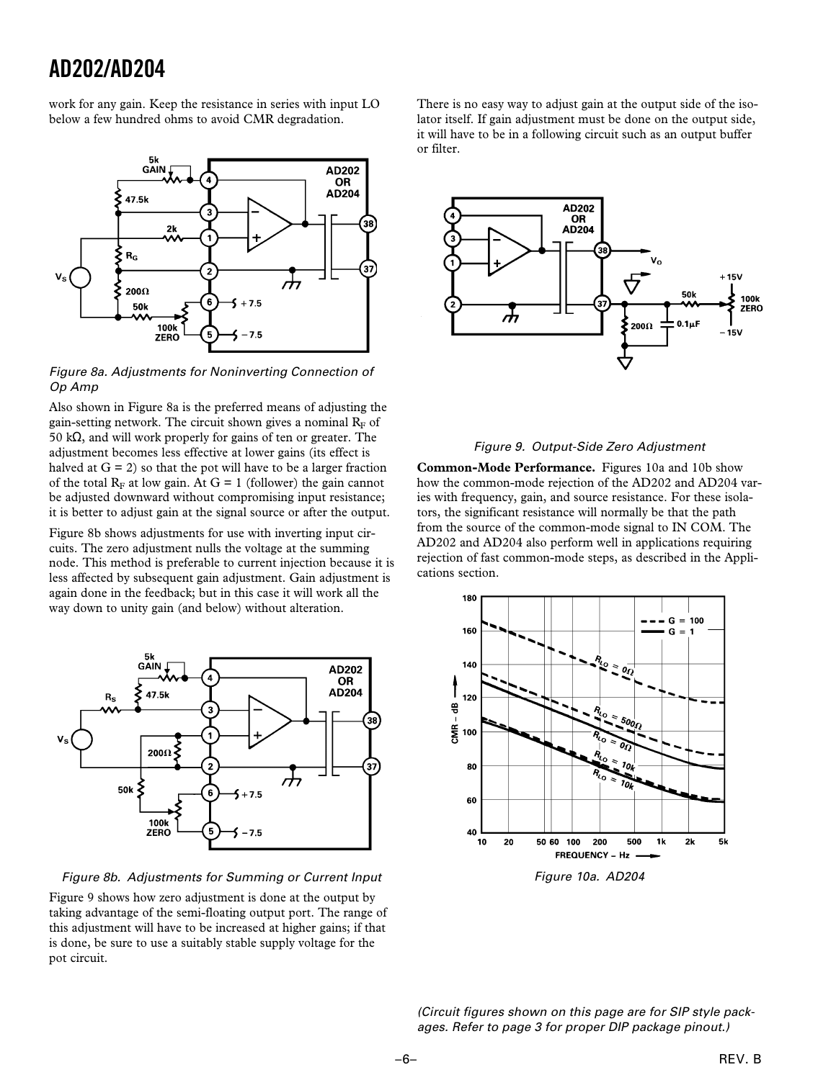work for any gain. Keep the resistance in series with input LO below a few hundred ohms to avoid CMR degradation.



Figure 8a. Adjustments for Noninverting Connection of Op Amp

Also shown in Figure 8a is the preferred means of adjusting the gain-setting network. The circuit shown gives a nominal  $R_F$  of 50 kΩ, and will work properly for gains of ten or greater. The adjustment becomes less effective at lower gains (its effect is halved at  $G = 2$ ) so that the pot will have to be a larger fraction of the total  $R_F$  at low gain. At  $G = 1$  (follower) the gain cannot be adjusted downward without compromising input resistance; it is better to adjust gain at the signal source or after the output.

Figure 8b shows adjustments for use with inverting input circuits. The zero adjustment nulls the voltage at the summing node. This method is preferable to current injection because it is less affected by subsequent gain adjustment. Gain adjustment is again done in the feedback; but in this case it will work all the way down to unity gain (and below) without alteration.



#### Figure 8b. Adjustments for Summing or Current Input

Figure 9 shows how zero adjustment is done at the output by taking advantage of the semi-floating output port. The range of this adjustment will have to be increased at higher gains; if that is done, be sure to use a suitably stable supply voltage for the pot circuit.

There is no easy way to adjust gain at the output side of the isolator itself. If gain adjustment must be done on the output side, it will have to be in a following circuit such as an output buffer or filter.



### Figure 9. Output-Side Zero Adjustment

**Common-Mode Performance.** Figures 10a and 10b show how the common-mode rejection of the AD202 and AD204 varies with frequency, gain, and source resistance. For these isolators, the significant resistance will normally be that the path from the source of the common-mode signal to IN COM. The AD202 and AD204 also perform well in applications requiring rejection of fast common-mode steps, as described in the Applications section.



Figure 10a. AD204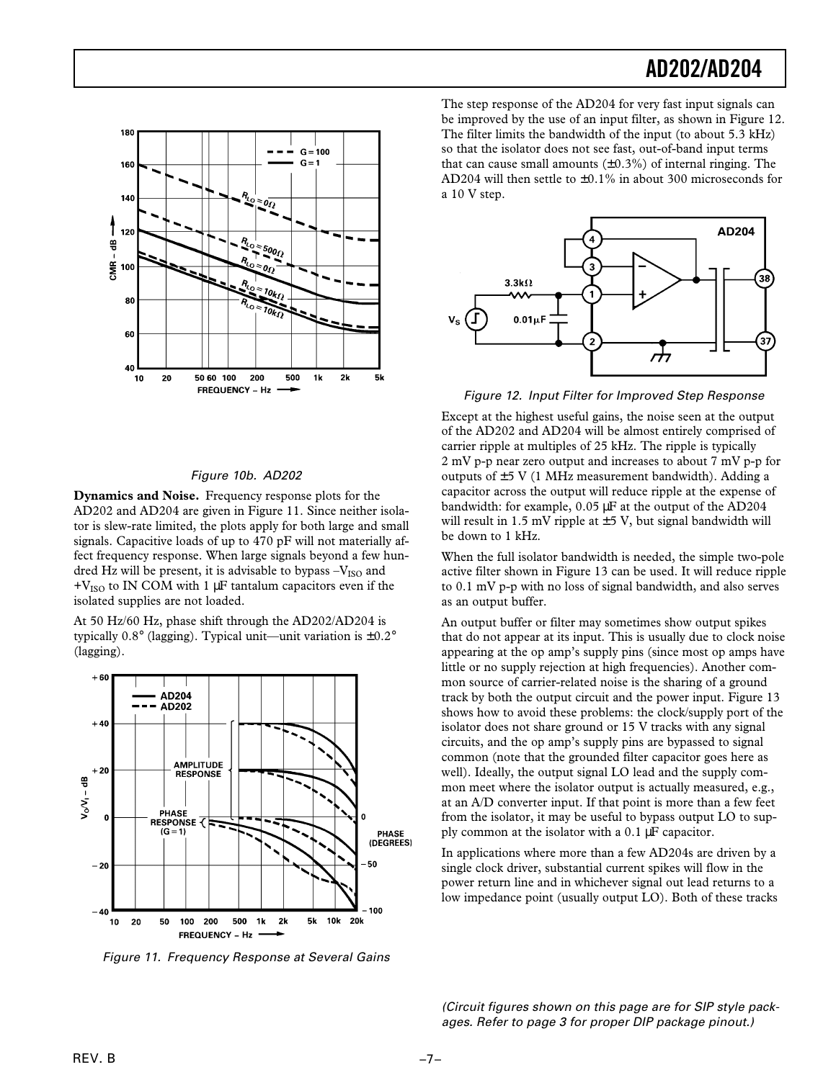

#### Figure 10b. AD202

**Dynamics and Noise.** Frequency response plots for the AD202 and AD204 are given in Figure 11. Since neither isolator is slew-rate limited, the plots apply for both large and small signals. Capacitive loads of up to 470 pF will not materially affect frequency response. When large signals beyond a few hundred Hz will be present, it is advisable to bypass  $-V_{ISO}$  and  $+V<sub>ISO</sub>$  to IN COM with 1  $\mu$ F tantalum capacitors even if the isolated supplies are not loaded.

At 50 Hz/60 Hz, phase shift through the AD202/AD204 is typically 0.8° (lagging). Typical unit—unit variation is  $\pm 0.2$ ° (lagging).



Figure 11. Frequency Response at Several Gains

The step response of the AD204 for very fast input signals can be improved by the use of an input filter, as shown in Figure 12. The filter limits the bandwidth of the input (to about 5.3 kHz) so that the isolator does not see fast, out-of-band input terms that can cause small amounts  $(\pm 0.3\%)$  of internal ringing. The AD204 will then settle to ±0.1% in about 300 microseconds for a 10 V step.



Figure 12. Input Filter for Improved Step Response

Except at the highest useful gains, the noise seen at the output of the AD202 and AD204 will be almost entirely comprised of carrier ripple at multiples of 25 kHz. The ripple is typically 2 mV p-p near zero output and increases to about 7 mV p-p for outputs of  $\pm$ 5 V (1 MHz measurement bandwidth). Adding a capacitor across the output will reduce ripple at the expense of bandwidth: for example, 0.05 µF at the output of the AD204 will result in 1.5 mV ripple at  $\pm$ 5 V, but signal bandwidth will be down to 1 kHz.

When the full isolator bandwidth is needed, the simple two-pole active filter shown in Figure 13 can be used. It will reduce ripple to 0.1 mV p-p with no loss of signal bandwidth, and also serves as an output buffer.

An output buffer or filter may sometimes show output spikes that do not appear at its input. This is usually due to clock noise appearing at the op amp's supply pins (since most op amps have little or no supply rejection at high frequencies). Another common source of carrier-related noise is the sharing of a ground track by both the output circuit and the power input. Figure 13 shows how to avoid these problems: the clock/supply port of the isolator does not share ground or 15 V tracks with any signal circuits, and the op amp's supply pins are bypassed to signal common (note that the grounded filter capacitor goes here as well). Ideally, the output signal LO lead and the supply common meet where the isolator output is actually measured, e.g., at an A/D converter input. If that point is more than a few feet from the isolator, it may be useful to bypass output LO to supply common at the isolator with a 0.1 µF capacitor.

In applications where more than a few AD204s are driven by a single clock driver, substantial current spikes will flow in the power return line and in whichever signal out lead returns to a low impedance point (usually output LO). Both of these tracks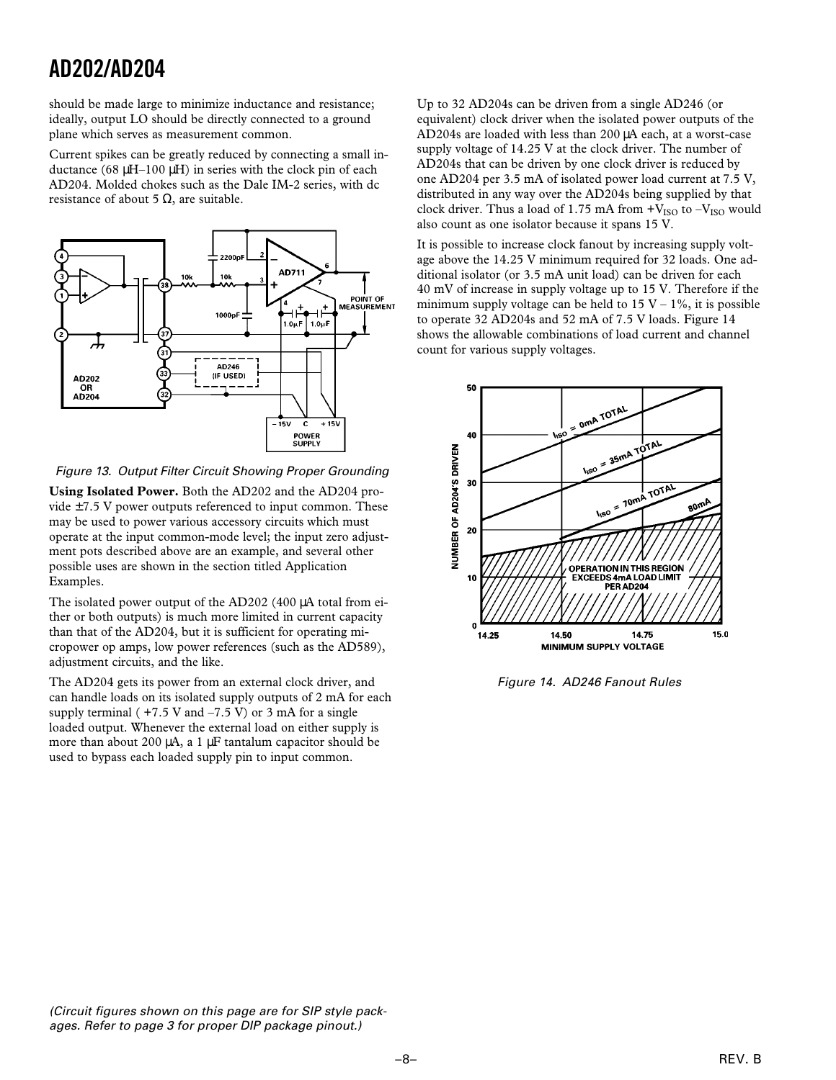should be made large to minimize inductance and resistance; ideally, output LO should be directly connected to a ground plane which serves as measurement common.

Current spikes can be greatly reduced by connecting a small inductance (68  $\mu$ H–100  $\mu$ H) in series with the clock pin of each AD204. Molded chokes such as the Dale IM-2 series, with dc resistance of about 5  $Ω$ , are suitable.



Figure 13. Output Filter Circuit Showing Proper Grounding

**Using Isolated Power.** Both the AD202 and the AD204 provide  $\pm$ 7.5 V power outputs referenced to input common. These may be used to power various accessory circuits which must operate at the input common-mode level; the input zero adjustment pots described above are an example, and several other possible uses are shown in the section titled Application Examples.

The isolated power output of the AD202 (400 µA total from either or both outputs) is much more limited in current capacity than that of the AD204, but it is sufficient for operating micropower op amps, low power references (such as the AD589), adjustment circuits, and the like.

The AD204 gets its power from an external clock driver, and can handle loads on its isolated supply outputs of 2 mA for each supply terminal ( $+7.5$  V and  $-7.5$  V) or 3 mA for a single loaded output. Whenever the external load on either supply is more than about 200 µA, a 1 µF tantalum capacitor should be used to bypass each loaded supply pin to input common.

Up to 32 AD204s can be driven from a single AD246 (or equivalent) clock driver when the isolated power outputs of the AD204s are loaded with less than 200 µA each, at a worst-case supply voltage of 14.25 V at the clock driver. The number of AD204s that can be driven by one clock driver is reduced by one AD204 per 3.5 mA of isolated power load current at 7.5 V, distributed in any way over the AD204s being supplied by that clock driver. Thus a load of 1.75 mA from  $+V_{ISO}$  to  $-V_{ISO}$  would also count as one isolator because it spans 15 V.

It is possible to increase clock fanout by increasing supply voltage above the 14.25 V minimum required for 32 loads. One additional isolator (or 3.5 mA unit load) can be driven for each 40 mV of increase in supply voltage up to 15 V. Therefore if the minimum supply voltage can be held to  $15 V - 1\%$ , it is possible to operate 32 AD204s and 52 mA of 7.5 V loads. Figure 14 shows the allowable combinations of load current and channel count for various supply voltages.



Figure 14. AD246 Fanout Rules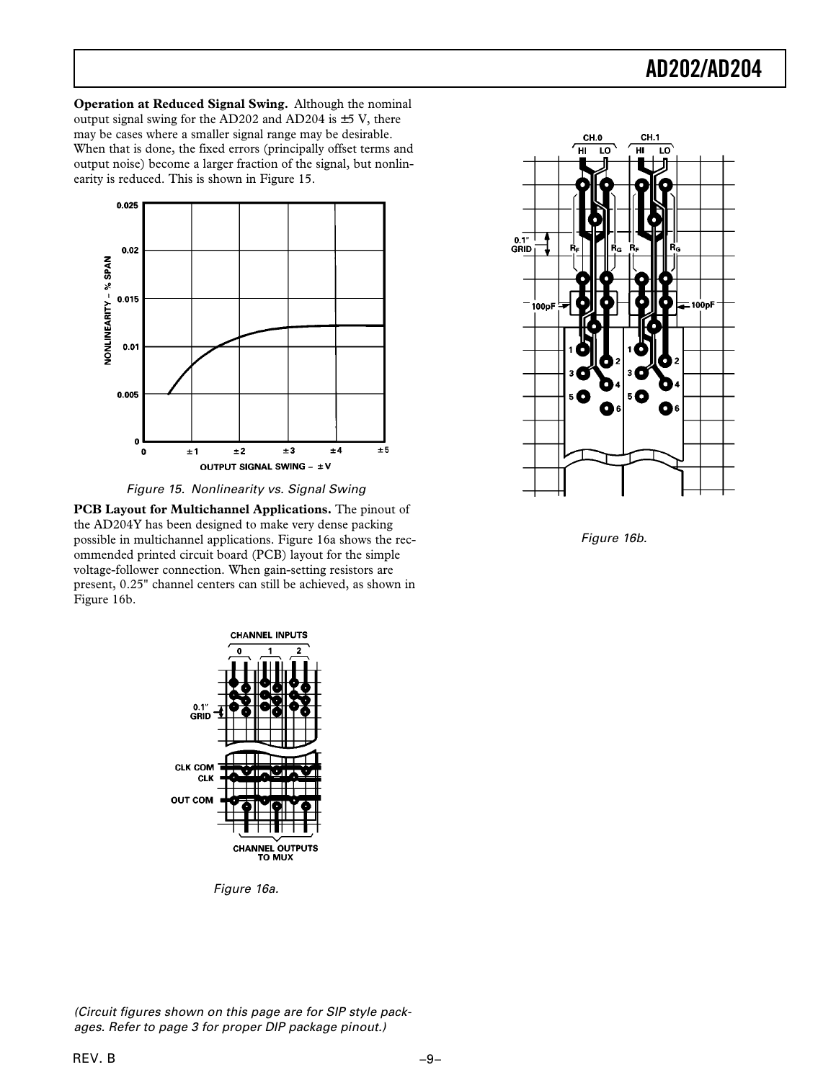**Operation at Reduced Signal Swing.** Although the nominal output signal swing for the AD202 and AD204 is  $\pm$ 5 V, there may be cases where a smaller signal range may be desirable. When that is done, the fixed errors (principally offset terms and output noise) become a larger fraction of the signal, but nonlinearity is reduced. This is shown in Figure 15.



Figure 15. Nonlinearity vs. Signal Swing

**PCB Layout for Multichannel Applications.** The pinout of the AD204Y has been designed to make very dense packing possible in multichannel applications. Figure 16a shows the recommended printed circuit board (PCB) layout for the simple voltage-follower connection. When gain-setting resistors are present, 0.25" channel centers can still be achieved, as shown in Figure 16b.



Figure 16b.



Figure 16a.

(Circuit figures shown on this page are for SIP style packages. Refer to page 3 for proper DIP package pinout.)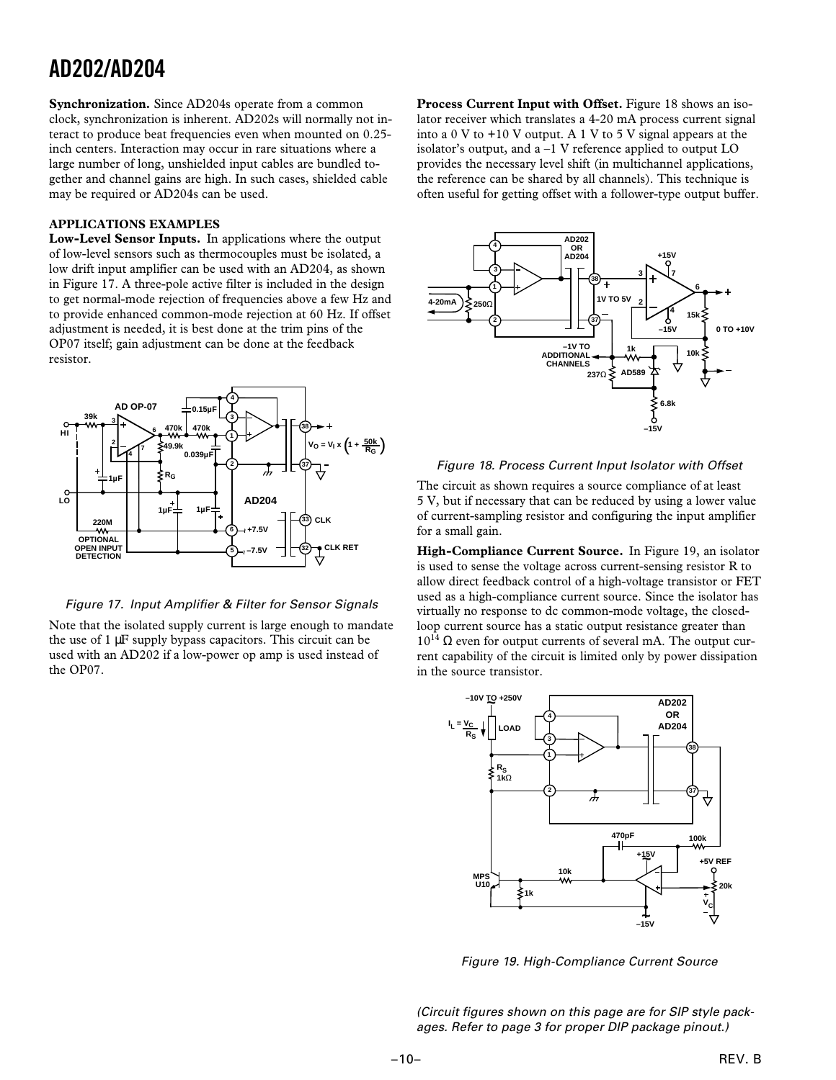**Synchronization.** Since AD204s operate from a common clock, synchronization is inherent. AD202s will normally not interact to produce beat frequencies even when mounted on 0.25 inch centers. Interaction may occur in rare situations where a large number of long, unshielded input cables are bundled together and channel gains are high. In such cases, shielded cable may be required or AD204s can be used.

### **APPLICATIONS EXAMPLES**

**Low-Level Sensor Inputs.** In applications where the output of low-level sensors such as thermocouples must be isolated, a low drift input amplifier can be used with an AD204, as shown in Figure 17. A three-pole active filter is included in the design to get normal-mode rejection of frequencies above a few Hz and to provide enhanced common-mode rejection at 60 Hz. If offset adjustment is needed, it is best done at the trim pins of the OP07 itself; gain adjustment can be done at the feedback resistor.



Figure 17. Input Amplifier & Filter for Sensor Signals

Note that the isolated supply current is large enough to mandate the use of 1 µF supply bypass capacitors. This circuit can be used with an AD202 if a low-power op amp is used instead of the OP07.

**Process Current Input with Offset.** Figure 18 shows an isolator receiver which translates a 4-20 mA process current signal into a 0 V to +10 V output. A 1 V to 5 V signal appears at the isolator's output, and a –1 V reference applied to output LO provides the necessary level shift (in multichannel applications, the reference can be shared by all channels). This technique is often useful for getting offset with a follower-type output buffer.



### Figure 18. Process Current Input Isolator with Offset

The circuit as shown requires a source compliance of at least 5 V, but if necessary that can be reduced by using a lower value of current-sampling resistor and configuring the input amplifier for a small gain.

**High-Compliance Current Source.** In Figure 19, an isolator is used to sense the voltage across current-sensing resistor R to allow direct feedback control of a high-voltage transistor or FET used as a high-compliance current source. Since the isolator has virtually no response to dc common-mode voltage, the closedloop current source has a static output resistance greater than  $10^{14}$  Ω even for output currents of several mA. The output current capability of the circuit is limited only by power dissipation in the source transistor.



Figure 19. High-Compliance Current Source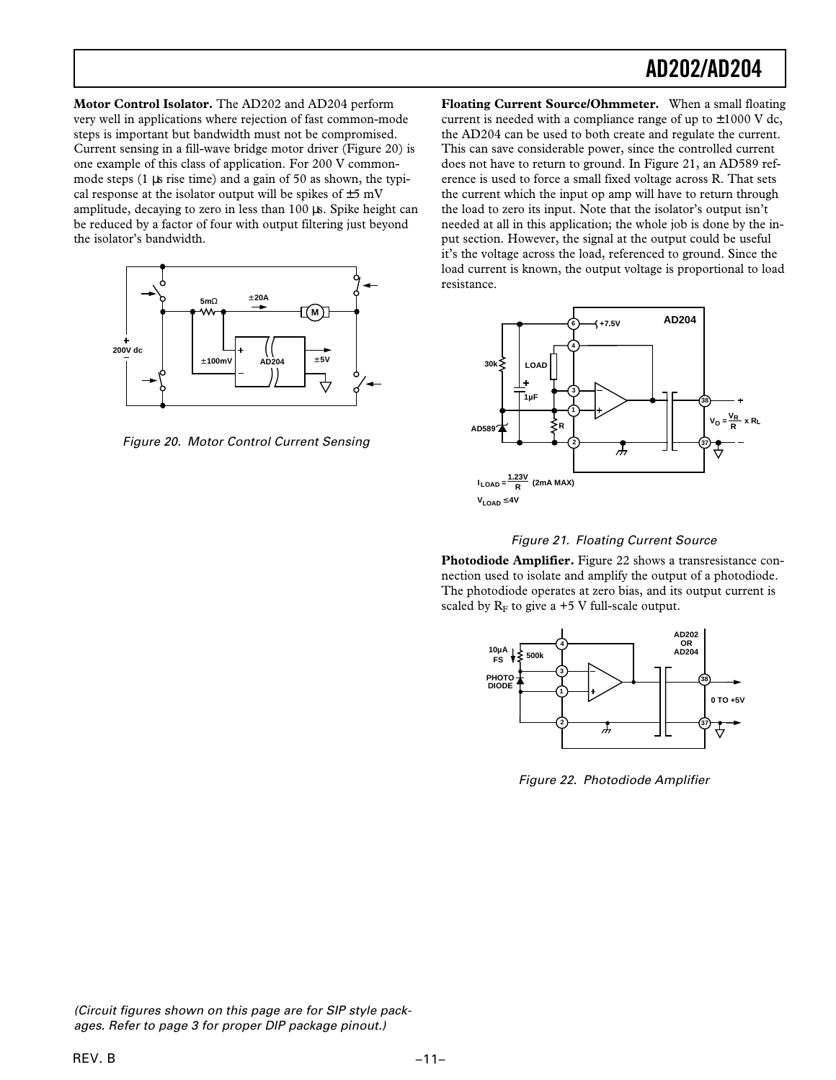**Motor Control Isolator.** The AD202 and AD204 perform very well in applications where rejection of fast common-mode steps is important but bandwidth must not be compromised. Current sensing in a fill-wave bridge motor driver (Figure 20) is one example of this class of application. For 200 V commonmode steps (1 µs rise time) and a gain of 50 as shown, the typical response at the isolator output will be spikes of  $\pm$ 5 mV amplitude, decaying to zero in less than 100 µs. Spike height can be reduced by a factor of four with output filtering just beyond the isolator's bandwidth.



Figure 20. Motor Control Current Sensing

**Floating Current Source/Ohmmeter.** When a small floating current is needed with a compliance range of up to  $\pm 1000$  V dc, the AD204 can be used to both create and regulate the current. This can save considerable power, since the controlled current does not have to return to ground. In Figure 21, an AD589 reference is used to force a small fixed voltage across R. That sets the current which the input op amp will have to return through the load to zero its input. Note that the isolator's output isn't needed at all in this application; the whole job is done by the input section. However, the signal at the output could be useful it's the voltage across the load, referenced to ground. Since the load current is known, the output voltage is proportional to load resistance.





**Photodiode Amplifier.** Figure 22 shows a transresistance connection used to isolate and amplify the output of a photodiode. The photodiode operates at zero bias, and its output current is scaled by  $R_F$  to give a +5 V full-scale output.



Figure 22. Photodiode Amplifier